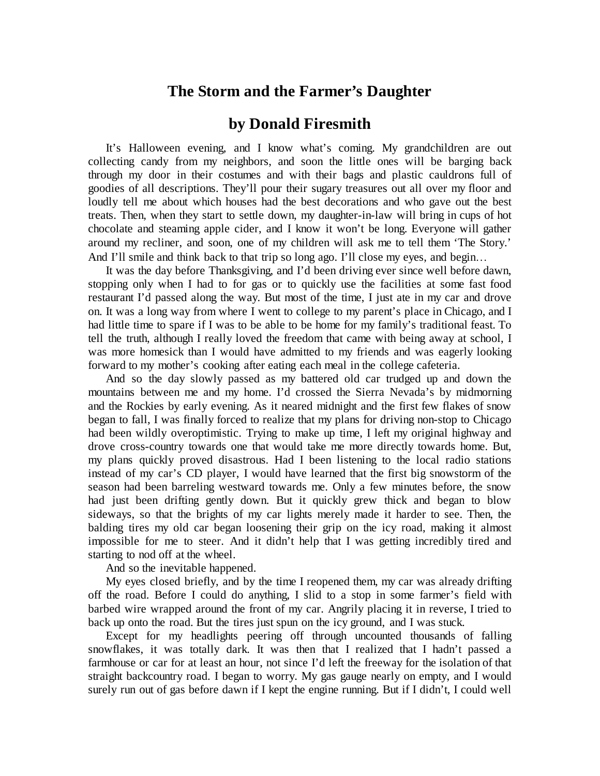## **The Storm and the Farmer's Daughter**

## **by Donald Firesmith**

It's Halloween evening, and I know what's coming. My grandchildren are out collecting candy from my neighbors, and soon the little ones will be barging back through my door in their costumes and with their bags and plastic cauldrons full of goodies of all descriptions. They'll pour their sugary treasures out all over my floor and loudly tell me about which houses had the best decorations and who gave out the best treats. Then, when they start to settle down, my daughter-in-law will bring in cups of hot chocolate and steaming apple cider, and I know it won't be long. Everyone will gather around my recliner, and soon, one of my children will ask me to tell them 'The Story.' And I'll smile and think back to that trip so long ago. I'll close my eyes, and begin...

It was the day before Thanksgiving, and I'd been driving ever since well before dawn, stopping only when I had to for gas or to quickly use the facilities at some fast food restaurant I'd passed along the way. But most of the time, I just ate in my car and drove on. It was a long way from where I went to college to my parent's place in Chicago, and I had little time to spare if I was to be able to be home for my family's traditional feast. To tell the truth, although I really loved the freedom that came with being away at school, I was more homesick than I would have admitted to my friends and was eagerly looking forward to my mother's cooking after eating each meal in the college cafeteria.

And so the day slowly passed as my battered old car trudged up and down the mountains between me and my home. I'd crossed the Sierra Nevada's by midmorning and the Rockies by early evening. As it neared midnight and the first few flakes of snow began to fall, I was finally forced to realize that my plans for driving non-stop to Chicago had been wildly overoptimistic. Trying to make up time, I left my original highway and drove cross-country towards one that would take me more directly towards home. But, my plans quickly proved disastrous. Had I been listening to the local radio stations instead of my car's CD player, I would have learned that the first big snowstorm of the season had been barreling westward towards me. Only a few minutes before, the snow had just been drifting gently down. But it quickly grew thick and began to blow sideways, so that the brights of my car lights merely made it harder to see. Then, the balding tires my old car began loosening their grip on the icy road, making it almost impossible for me to steer. And it didn't help that I was getting incredibly tired and starting to nod off at the wheel.

And so the inevitable happened.

My eyes closed briefly, and by the time I reopened them, my car was already drifting off the road. Before I could do anything, I slid to a stop in some farmer's field with barbed wire wrapped around the front of my car. Angrily placing it in reverse, I tried to back up onto the road. But the tires just spun on the icy ground, and I was stuck.

Except for my headlights peering off through uncounted thousands of falling snowflakes, it was totally dark. It was then that I realized that I hadn't passed a farmhouse or car for at least an hour, not since I'd left the freeway for the isolation of that straight backcountry road. I began to worry. My gas gauge nearly on empty, and I would surely run out of gas before dawn if I kept the engine running. But if I didn't, I could well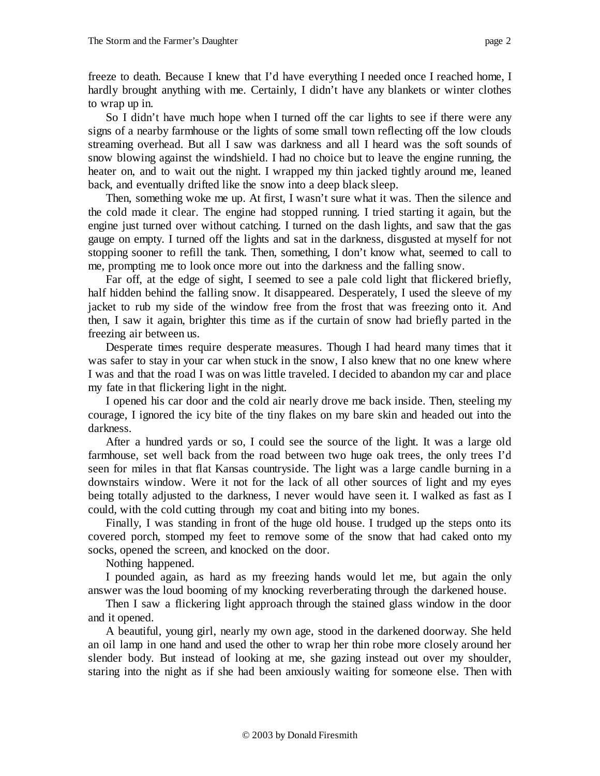freeze to death. Because I knew that I'd have everything I needed once I reached home, I hardly brought anything with me. Certainly, I didn't have any blankets or winter clothes to wrap up in.

So I didn't have much hope when I turned off the car lights to see if there were any signs of a nearby farmhouse or the lights of some small town reflecting off the low clouds streaming overhead. But all I saw was darkness and all I heard was the soft sounds of snow blowing against the windshield. I had no choice but to leave the engine running, the heater on, and to wait out the night. I wrapped my thin jacked tightly around me, leaned back, and eventually drifted like the snow into a deep black sleep.

Then, something woke me up. At first, I wasn't sure what it was. Then the silence and the cold made it clear. The engine had stopped running. I tried starting it again, but the engine just turned over without catching. I turned on the dash lights, and saw that the gas gauge on empty. I turned off the lights and sat in the darkness, disgusted at myself for not stopping sooner to refill the tank. Then, something, I don't know what, seemed to call to me, prompting me to look once more out into the darkness and the falling snow.

Far off, at the edge of sight, I seemed to see a pale cold light that flickered briefly, half hidden behind the falling snow. It disappeared. Desperately, I used the sleeve of my jacket to rub my side of the window free from the frost that was freezing onto it. And then, I saw it again, brighter this time as if the curtain of snow had briefly parted in the freezing air between us.

Desperate times require desperate measures. Though I had heard many times that it was safer to stay in your car when stuck in the snow, I also knew that no one knew where I was and that the road I was on was little traveled. I decided to abandon my car and place my fate in that flickering light in the night.

I opened his car door and the cold air nearly drove me back inside. Then, steeling my courage, I ignored the icy bite of the tiny flakes on my bare skin and headed out into the darkness.

After a hundred yards or so, I could see the source of the light. It was a large old farmhouse, set well back from the road between two huge oak trees, the only trees I'd seen for miles in that flat Kansas countryside. The light was a large candle burning in a downstairs window. Were it not for the lack of all other sources of light and my eyes being totally adjusted to the darkness, I never would have seen it. I walked as fast as I could, with the cold cutting through my coat and biting into my bones.

Finally, I was standing in front of the huge old house. I trudged up the steps onto its covered porch, stomped my feet to remove some of the snow that had caked onto my socks, opened the screen, and knocked on the door.

Nothing happened.

I pounded again, as hard as my freezing hands would let me, but again the only answer was the loud booming of my knocking reverberating through the darkened house.

Then I saw a flickering light approach through the stained glass window in the door and it opened.

A beautiful, young girl, nearly my own age, stood in the darkened doorway. She held an oil lamp in one hand and used the other to wrap her thin robe more closely around her slender body. But instead of looking at me, she gazing instead out over my shoulder, staring into the night as if she had been anxiously waiting for someone else. Then with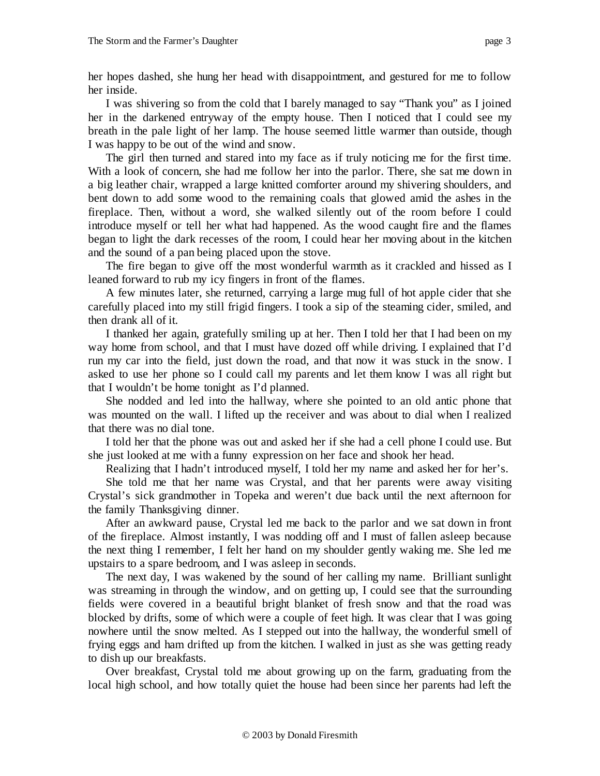her hopes dashed, she hung her head with disappointment, and gestured for me to follow her inside.

I was shivering so from the cold that I barely managed to say "Thank you" as I joined her in the darkened entryway of the empty house. Then I noticed that I could see my breath in the pale light of her lamp. The house seemed little warmer than outside, though I was happy to be out of the wind and snow.

The girl then turned and stared into my face as if truly noticing me for the first time. With a look of concern, she had me follow her into the parlor. There, she sat me down in a big leather chair, wrapped a large knitted comforter around my shivering shoulders, and bent down to add some wood to the remaining coals that glowed amid the ashes in the fireplace. Then, without a word, she walked silently out of the room before I could introduce myself or tell her what had happened. As the wood caught fire and the flames began to light the dark recesses of the room, I could hear her moving about in the kitchen and the sound of a pan being placed upon the stove.

The fire began to give off the most wonderful warmth as it crackled and hissed as I leaned forward to rub my icy fingers in front of the flames.

A few minutes later, she returned, carrying a large mug full of hot apple cider that she carefully placed into my still frigid fingers. I took a sip of the steaming cider, smiled, and then drank all of it.

I thanked her again, gratefully smiling up at her. Then I told her that I had been on my way home from school, and that I must have dozed off while driving. I explained that I'd run my car into the field, just down the road, and that now it was stuck in the snow. I asked to use her phone so I could call my parents and let them know I was all right but that I wouldn't be home tonight as I'd planned.

She nodded and led into the hallway, where she pointed to an old antic phone that was mounted on the wall. I lifted up the receiver and was about to dial when I realized that there was no dial tone.

I told her that the phone was out and asked her if she had a cell phone I could use. But she just looked at me with a funny expression on her face and shook her head.

Realizing that I hadn't introduced myself, I told her my name and asked her for her's.

She told me that her name was Crystal, and that her parents were away visiting Crystal's sick grandmother in Topeka and weren't due back until the next afternoon for the family Thanksgiving dinner.

After an awkward pause, Crystal led me back to the parlor and we sat down in front of the fireplace. Almost instantly, I was nodding off and I must of fallen asleep because the next thing I remember, I felt her hand on my shoulder gently waking me. She led me upstairs to a spare bedroom, and I was asleep in seconds.

The next day, I was wakened by the sound of her calling my name. Brilliant sunlight was streaming in through the window, and on getting up, I could see that the surrounding fields were covered in a beautiful bright blanket of fresh snow and that the road was blocked by drifts, some of which were a couple of feet high. It was clear that I was going nowhere until the snow melted. As I stepped out into the hallway, the wonderful smell of frying eggs and ham drifted up from the kitchen. I walked in just as she was getting ready to dish up our breakfasts.

Over breakfast, Crystal told me about growing up on the farm, graduating from the local high school, and how totally quiet the house had been since her parents had left the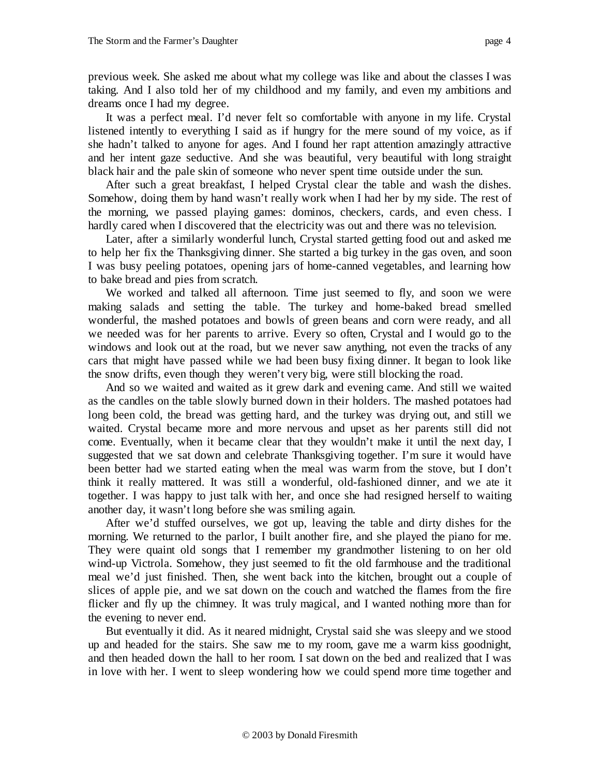previous week. She asked me about what my college was like and about the classes I was taking. And I also told her of my childhood and my family, and even my ambitions and dreams once I had my degree.

It was a perfect meal. I'd never felt so comfortable with anyone in my life. Crystal listened intently to everything I said as if hungry for the mere sound of my voice, as if she hadn't talked to anyone for ages. And I found her rapt attention amazingly attractive and her intent gaze seductive. And she was beautiful, very beautiful with long straight black hair and the pale skin of someone who never spent time outside under the sun.

After such a great breakfast, I helped Crystal clear the table and wash the dishes. Somehow, doing them by hand wasn't really work when I had her by my side. The rest of the morning, we passed playing games: dominos, checkers, cards, and even chess. I hardly cared when I discovered that the electricity was out and there was no television.

Later, after a similarly wonderful lunch, Crystal started getting food out and asked me to help her fix the Thanksgiving dinner. She started a big turkey in the gas oven, and soon I was busy peeling potatoes, opening jars of home-canned vegetables, and learning how to bake bread and pies from scratch.

We worked and talked all afternoon. Time just seemed to fly, and soon we were making salads and setting the table. The turkey and home-baked bread smelled wonderful, the mashed potatoes and bowls of green beans and corn were ready, and all we needed was for her parents to arrive. Every so often, Crystal and I would go to the windows and look out at the road, but we never saw anything, not even the tracks of any cars that might have passed while we had been busy fixing dinner. It began to look like the snow drifts, even though they weren't very big, were still blocking the road.

And so we waited and waited as it grew dark and evening came. And still we waited as the candles on the table slowly burned down in their holders. The mashed potatoes had long been cold, the bread was getting hard, and the turkey was drying out, and still we waited. Crystal became more and more nervous and upset as her parents still did not come. Eventually, when it became clear that they wouldn't make it until the next day, I suggested that we sat down and celebrate Thanksgiving together. I'm sure it would have been better had we started eating when the meal was warm from the stove, but I don't think it really mattered. It was still a wonderful, old-fashioned dinner, and we ate it together. I was happy to just talk with her, and once she had resigned herself to waiting another day, it wasn't long before she was smiling again.

After we'd stuffed ourselves, we got up, leaving the table and dirty dishes for the morning. We returned to the parlor, I built another fire, and she played the piano for me. They were quaint old songs that I remember my grandmother listening to on her old wind-up Victrola. Somehow, they just seemed to fit the old farmhouse and the traditional meal we'd just finished. Then, she went back into the kitchen, brought out a couple of slices of apple pie, and we sat down on the couch and watched the flames from the fire flicker and fly up the chimney. It was truly magical, and I wanted nothing more than for the evening to never end.

But eventually it did. As it neared midnight, Crystal said she was sleepy and we stood up and headed for the stairs. She saw me to my room, gave me a warm kiss goodnight, and then headed down the hall to her room. I sat down on the bed and realized that I was in love with her. I went to sleep wondering how we could spend more time together and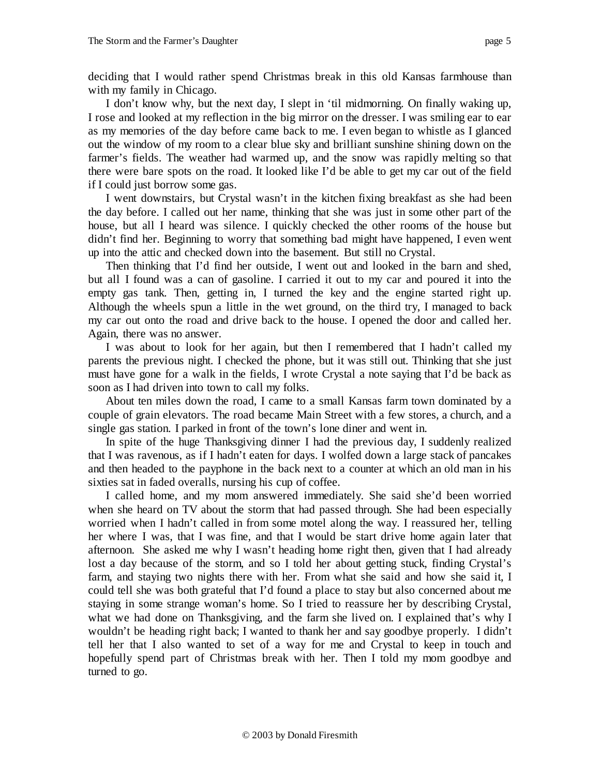with my family in Chicago. I don't know why, but the next day, I slept in 'til midmorning. On finally waking up, I rose and looked at my reflection in the big mirror on the dresser. I was smiling ear to ear as my memories of the day before came back to me. I even began to whistle as I glanced out the window of my room to a clear blue sky and brilliant sunshine shining down on the farmer's fields. The weather had warmed up, and the snow was rapidly melting so that there were bare spots on the road. It looked like I'd be able to get my car out of the field if I could just borrow some gas.

I went downstairs, but Crystal wasn't in the kitchen fixing breakfast as she had been the day before. I called out her name, thinking that she was just in some other part of the house, but all I heard was silence. I quickly checked the other rooms of the house but didn't find her. Beginning to worry that something bad might have happened, I even went up into the attic and checked down into the basement. But still no Crystal.

Then thinking that I'd find her outside, I went out and looked in the barn and shed, but all I found was a can of gasoline. I carried it out to my car and poured it into the empty gas tank. Then, getting in, I turned the key and the engine started right up. Although the wheels spun a little in the wet ground, on the third try, I managed to back my car out onto the road and drive back to the house. I opened the door and called her. Again, there was no answer.

I was about to look for her again, but then I remembered that I hadn't called my parents the previous night. I checked the phone, but it was still out. Thinking that she just must have gone for a walk in the fields, I wrote Crystal a note saying that I'd be back as soon as I had driven into town to call my folks.

About ten miles down the road, I came to a small Kansas farm town dominated by a couple of grain elevators. The road became Main Street with a few stores, a church, and a single gas station. I parked in front of the town's lone diner and went in.

In spite of the huge Thanksgiving dinner I had the previous day, I suddenly realized that I was ravenous, as if I hadn't eaten for days. I wolfed down a large stack of pancakes and then headed to the payphone in the back next to a counter at which an old man in his sixties sat in faded overalls, nursing his cup of coffee.

I called home, and my mom answered immediately. She said she'd been worried when she heard on TV about the storm that had passed through. She had been especially worried when I hadn't called in from some motel along the way. I reassured her, telling her where I was, that I was fine, and that I would be start drive home again later that afternoon. She asked me why I wasn't heading home right then, given that I had already lost a day because of the storm, and so I told her about getting stuck, finding Crystal's farm, and staying two nights there with her. From what she said and how she said it, I could tell she was both grateful that I'd found a place to stay but also concerned about me staying in some strange woman's home. So I tried to reassure her by describing Crystal, what we had done on Thanksgiving, and the farm she lived on. I explained that's why I wouldn't be heading right back; I wanted to thank her and say goodbye properly. I didn't tell her that I also wanted to set of a way for me and Crystal to keep in touch and hopefully spend part of Christmas break with her. Then I told my mom goodbye and turned to go.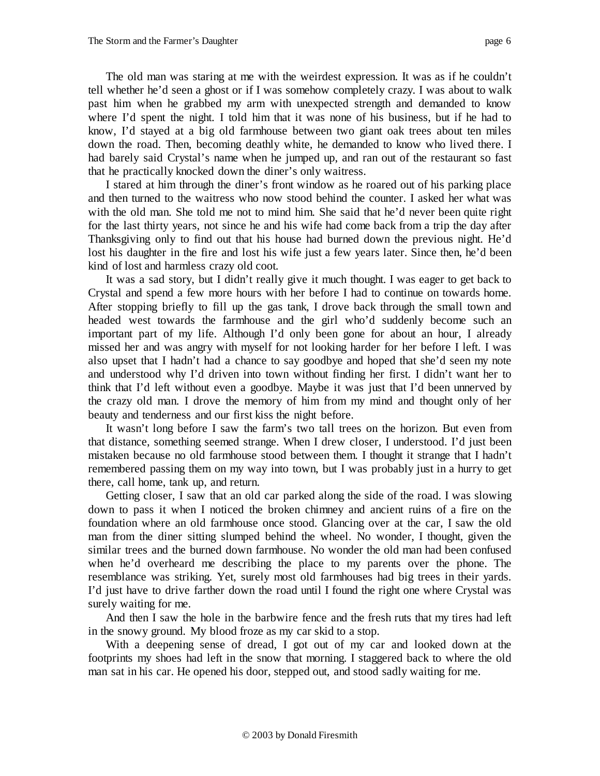The old man was staring at me with the weirdest expression. It was as if he couldn't tell whether he'd seen a ghost or if I was somehow completely crazy. I was about to walk past him when he grabbed my arm with unexpected strength and demanded to know where I'd spent the night. I told him that it was none of his business, but if he had to know, I'd stayed at a big old farmhouse between two giant oak trees about ten miles down the road. Then, becoming deathly white, he demanded to know who lived there. I had barely said Crystal's name when he jumped up, and ran out of the restaurant so fast that he practically knocked down the diner's only waitress.

I stared at him through the diner's front window as he roared out of his parking place and then turned to the waitress who now stood behind the counter. I asked her what was with the old man. She told me not to mind him. She said that he'd never been quite right for the last thirty years, not since he and his wife had come back from a trip the day after Thanksgiving only to find out that his house had burned down the previous night. He'd lost his daughter in the fire and lost his wife just a few years later. Since then, he'd been kind of lost and harmless crazy old coot.

It was a sad story, but I didn't really give it much thought. I was eager to get back to Crystal and spend a few more hours with her before I had to continue on towards home. After stopping briefly to fill up the gas tank, I drove back through the small town and headed west towards the farmhouse and the girl who'd suddenly become such an important part of my life. Although I'd only been gone for about an hour, I already missed her and was angry with myself for not looking harder for her before I left. I was also upset that I hadn't had a chance to say goodbye and hoped that she'd seen my note and understood why I'd driven into town without finding her first. I didn't want her to think that I'd left without even a goodbye. Maybe it was just that I'd been unnerved by the crazy old man. I drove the memory of him from my mind and thought only of her beauty and tenderness and our first kiss the night before.

It wasn't long before I saw the farm's two tall trees on the horizon. But even from that distance, something seemed strange. When I drew closer, I understood. I'd just been mistaken because no old farmhouse stood between them. I thought it strange that I hadn't remembered passing them on my way into town, but I was probably just in a hurry to get there, call home, tank up, and return.

Getting closer, I saw that an old car parked along the side of the road. I was slowing down to pass it when I noticed the broken chimney and ancient ruins of a fire on the foundation where an old farmhouse once stood. Glancing over at the car, I saw the old man from the diner sitting slumped behind the wheel. No wonder, I thought, given the similar trees and the burned down farmhouse. No wonder the old man had been confused when he'd overheard me describing the place to my parents over the phone. The resemblance was striking. Yet, surely most old farmhouses had big trees in their yards. I'd just have to drive farther down the road until I found the right one where Crystal was surely waiting for me.

And then I saw the hole in the barbwire fence and the fresh ruts that my tires had left in the snowy ground. My blood froze as my car skid to a stop.

With a deepening sense of dread, I got out of my car and looked down at the footprints my shoes had left in the snow that morning. I staggered back to where the old man sat in his car. He opened his door, stepped out, and stood sadly waiting for me.